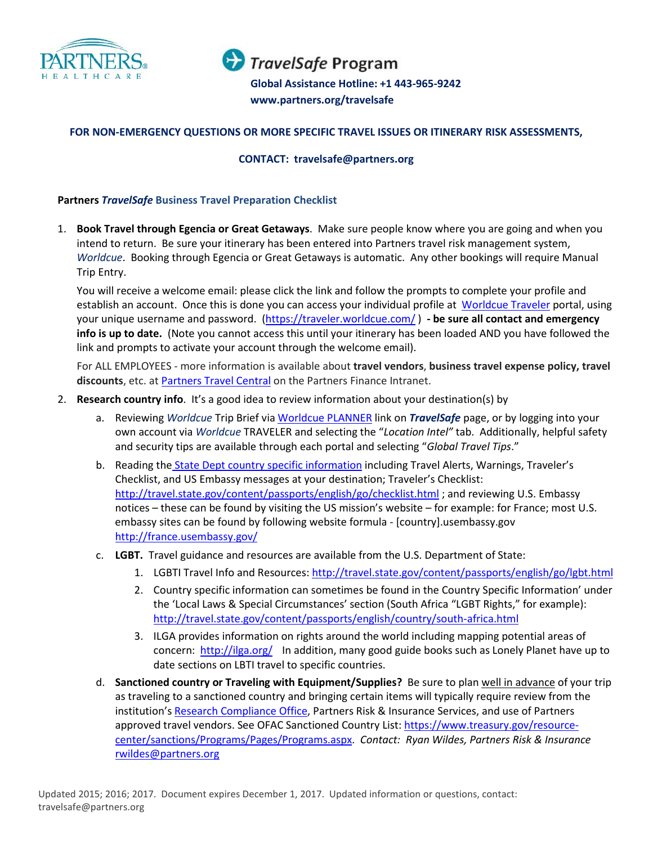

TravelSafe Program

**Global Assistance Hotline +1 443-965-9242 Global Assistance Hotline: +1 443-965-9242 [www.partners.org/travelsafe](http://www.partners.org/travelsafe)  www.partners.org/travelsafe**

### **FOR NON-EMERGENCY QUESTIONS OR MORE SPECIFIC TRAVEL ISSUES OR ITINERARY RISK ASSESSMENTS,**

#### **CONTACT: travelsafe@partners.org**

#### **Partners** *TravelSafe* **Business Travel Preparation Checklist**

1. **Book Travel through Egencia or Great Getaways**. Make sure people know where you are going and when you intend to return. Be sure your itinerary has been entered into Partners travel risk management system, *Worldcue*. Booking through Egencia or Great Getaways is automatic. Any other bookings will require Manual Trip Entry.

You will receive a welcome email: please click the link and follow the prompts to complete your profile and establish an account. Once this is done you can access your individual profile at [Worldcue Traveler](https://traveler.worldcue.com/) portal, using your unique username and password. [\(https://traveler.worldcue.com/](https://traveler.worldcue.com/) ) **- be sure all contact and emergency info is up to date.** (Note you cannot access this until your itinerary has been loaded AND you have followed the link and prompts to activate your account through the welcome email).

For ALL EMPLOYEES - more information is available about **travel vendors**, **business travel expense policy, travel**  discounts, etc. at **Partners Travel Central** on the Partners Finance Intranet.

- 2. **Research country info**. It's a good idea to review information about your destination(s) by
	- a. Reviewing *Worldcue* Trip Brief vi[a Worldcue PLANNER](https://sharepoint.partners.org/phs/travel/TravelSafe/SitePages/Home.aspx) link on *TravelSafe* page, or by logging into your own account via *Worldcue* TRAVELER and selecting the "*Location Intel"* tab. Additionally, helpful safety and security tips are available through each portal and selecting "*Global Travel Tips*."
	- b. Reading the [State Dept country specific information](http://travel.state.gov/content/travel/english.html) including Travel Alerts, Warnings, Traveler's Checklist, and US Embassy messages at your destination; Traveler's Checklist: <http://travel.state.gov/content/passports/english/go/checklist.html> ; and reviewing U.S. Embassy notices – these can be found by visiting the US mission's website – for example: for France; most U.S. embassy sites can be found by following website formula - [country].usembassy.gov <http://france.usembassy.gov/>
	- c. **LGBT.** Travel guidance and resources are available from the U.S. Department of State:
		- 1. LGBTI Travel Info and Resources: <http://travel.state.gov/content/passports/english/go/lgbt.html>
		- 2. Country specific information can sometimes be found in the Country Specific Information' under the 'Local Laws & Special Circumstances' section (South Africa "LGBT Rights," for example): <http://travel.state.gov/content/passports/english/country/south-africa.html>
		- 3. ILGA provides information on rights around the world including mapping potential areas of concern: <http://ilga.org/> In addition, many good guide books such as Lonely Planet have up to date sections on LBTI travel to specific countries.
	- d. **Sanctioned country or Traveling with Equipment/Supplies?** Be sure to plan well in advance of your trip as traveling to a sanctioned country and bringing certain items will typically require review from the institution's [Research Compliance Office,](https://partnershealthcare-public.sharepoint.com/Pages/Partners-Research-Compliance-Office.aspx) Partners Risk & Insurance Services, and use of Partners approved travel vendors. See OFAC Sanctioned Country List: [https://www.treasury.gov/resource](https://www.treasury.gov/resource-center/sanctions/Programs/Pages/Programs.aspx)[center/sanctions/Programs/Pages/Programs.aspx.](https://www.treasury.gov/resource-center/sanctions/Programs/Pages/Programs.aspx) *Contact: Ryan Wildes, Partners Risk & Insurance*  [rwildes@partners.org](mailto:rwildes@partners.org)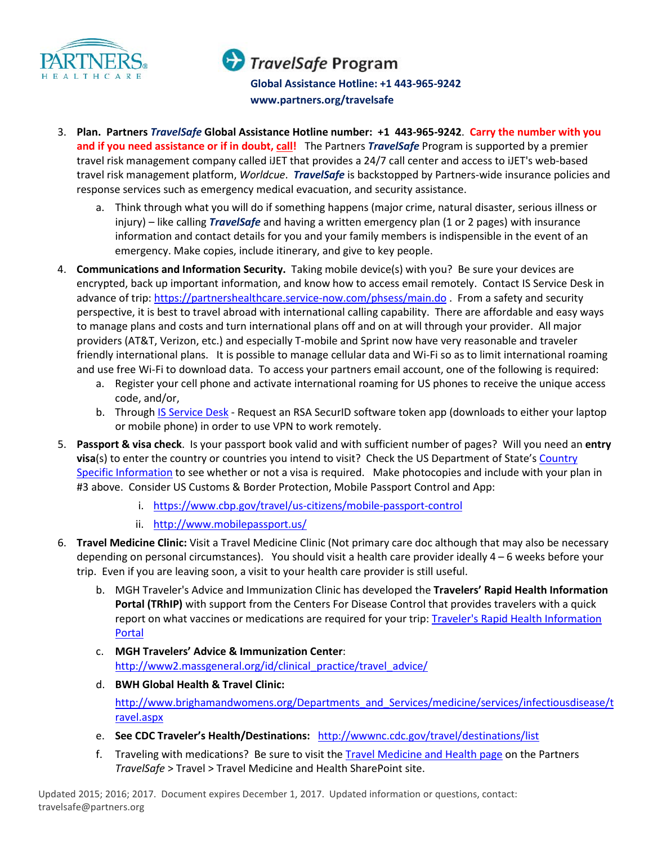

# TravelSafe Program

**Global Assistance Hotline +1 443-965-9242 Global Assistance Hotline: +1 443-965-9242 [www.partners.org/travelsafe](http://www.partners.org/travelsafe)  www.partners.org/travelsafe**

- 3. **Plan. Partners** *TravelSafe* **Global Assistance Hotline number: +1 443-965-9242**. **Carry the number with you**  and if you need assistance or if in doubt, call! The Partners *TravelSafe* Program is supported by a premier travel risk management company called iJET that provides a 24/7 call center and access to iJET's web-based travel risk management platform, *Worldcue*. *TravelSafe* is backstopped by Partners-wide insurance policies and response services such as emergency medical evacuation, and security assistance.
	- a. Think through what you will do if something happens (major crime, natural disaster, serious illness or injury) – like calling *TravelSafe* and having a written emergency plan (1 or 2 pages) with insurance information and contact details for you and your family members is indispensible in the event of an emergency. Make copies, include itinerary, and give to key people.
- 4. **Communications and Information Security.** Taking mobile device(s) with you? Be sure your devices are encrypted, back up important information, and know how to access email remotely. Contact IS Service Desk in advance of trip[: https://partnershealthcare.service-now.com/phsess/main.do](https://partnershealthcare.service-now.com/phsess/main.do) . From a safety and security perspective, it is best to travel abroad with international calling capability. There are affordable and easy ways to manage plans and costs and turn international plans off and on at will through your provider. All major providers (AT&T, Verizon, etc.) and especially T-mobile and Sprint now have very reasonable and traveler friendly international plans. It is possible to manage cellular data and Wi-Fi so as to limit international roaming and use free Wi-Fi to download data. To access your partners email account, one of the following is required:
	- a. Register your cell phone and activate international roaming for US phones to receive the unique access code, and/or,
	- b. Through [IS Service Desk](https://partnershealthcare.service-now.com/phsess/main.do) Request an RSA SecurID software token app (downloads to either your laptop or mobile phone) in order to use VPN to work remotely.
- 5. **Passport & visa check**. Is your passport book valid and with sufficient number of pages? Will you need an **entry visa**(s) to enter the country or countries you intend to visit? Check the US Department of State's [Country](http://travel.state.gov/content/passports/english/country.html)  [Specific Information](http://travel.state.gov/content/passports/english/country.html) to see whether or not a visa is required. Make photocopies and include with your plan in #3 above. Consider US Customs & Border Protection, Mobile Passport Control and App:
	- i. <https://www.cbp.gov/travel/us-citizens/mobile-passport-control>
	- ii. <http://www.mobilepassport.us/>
- 6. **Travel Medicine Clinic:** Visit a Travel Medicine Clinic (Not primary care doc although that may also be necessary depending on personal circumstances). You should visit a health care provider ideally 4 – 6 weeks before your trip. Even if you are leaving soon, a visit to your health care provider is still useful.
	- b. MGH Traveler's Advice and Immunization Clinic has developed the **Travelers' Rapid Health Information Portal (TRhIP)** with support from the Centers For Disease Control that provides travelers with a quick report on what vaccines or medications are required for your trip: Traveler's Rapid Health Information [Portal](http://gten.travel/trhip/)
	- c. **MGH Travelers' Advice & Immunization Center**: [http://www2.massgeneral.org/id/clinical\\_practice/travel\\_advice/](http://www2.massgeneral.org/id/clinical_practice/travel_advice/)
	- d. **BWH Global Health & Travel Clinic:** [http://www.brighamandwomens.org/Departments\\_and\\_Services/medicine/services/infectiousdisease/t](http://www.brighamandwomens.org/Departments_and_Services/medicine/services/infectiousdisease/travel.aspx) [ravel.aspx](http://www.brighamandwomens.org/Departments_and_Services/medicine/services/infectiousdisease/travel.aspx)
	- e. **See CDC Traveler's Health/Destinations:** <http://wwwnc.cdc.gov/travel/destinations/list>
	- f. Traveling with medications? Be sure to visit the [Travel Medicine and Health page](https://sharepoint.partners.org/phs/travel/SitePages/Travel%20Medicine%20and%20Health.aspx) on the Partners *TravelSafe* > Travel > Travel Medicine and Health SharePoint site.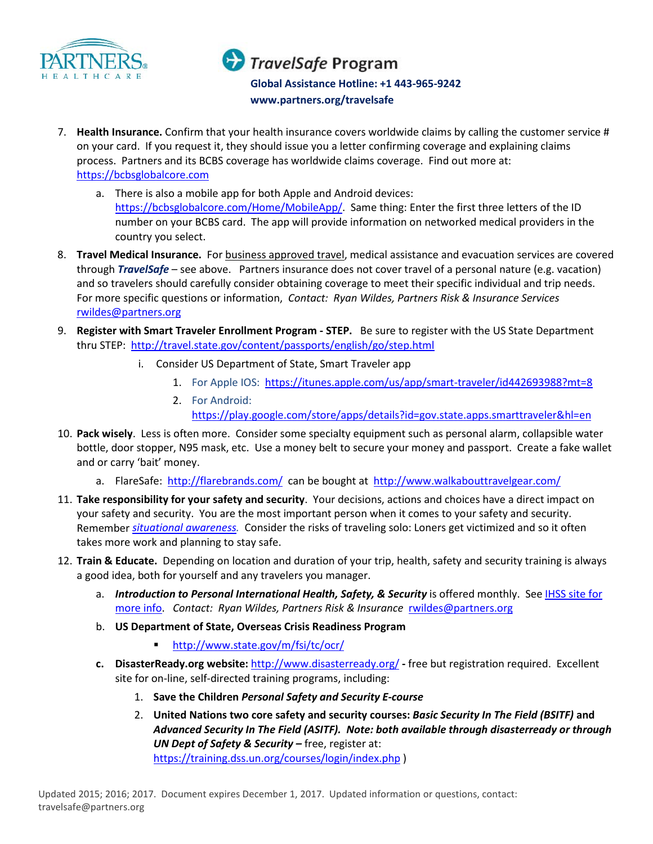

# TravelSafe Program

**Global Assistance Hotline +1 443-965-9242 Global Assistance Hotline: +1 443-965-9242 [www.partners.org/travelsafe](http://www.partners.org/travelsafe)  www.partners.org/travelsafe**

- 7. **Health Insurance.** Confirm that your health insurance covers worldwide claims by calling the customer service # on your card. If you request it, they should issue you a letter confirming coverage and explaining claims process. Partners and its BCBS coverage has worldwide claims coverage. Find out more at: [https://bcbsglobalcore.com](https://bcbsglobalcore.com/)
	- a. There is also a mobile app for both Apple and Android devices: [https://bcbsglobalcore.com/Home/MobileApp/.](https://bcbsglobalcore.com/Home/MobileApp/) Same thing: Enter the first three letters of the ID number on your BCBS card. The app will provide information on networked medical providers in the country you select.
- 8. **Travel Medical Insurance.** For business approved travel, medical assistance and evacuation services are covered through *TravelSafe* – see above. Partners insurance does not cover travel of a personal nature (e.g. vacation) and so travelers should carefully consider obtaining coverage to meet their specific individual and trip needs. For more specific questions or information, *Contact: Ryan Wildes, Partners Risk & Insurance Services* [rwildes@partners.org](mailto:rwildes@partners.org)
- 9. **Register with Smart Traveler Enrollment Program - STEP.** Be sure to register with the US State Department thru STEP: <http://travel.state.gov/content/passports/english/go/step.html>
	- i. Consider US Department of State, Smart Traveler app
		- 1. For Apple IOS:<https://itunes.apple.com/us/app/smart-traveler/id442693988?mt=8>
		- 2. For Android: <https://play.google.com/store/apps/details?id=gov.state.apps.smarttraveler&hl=en>
- 10. **Pack wisely**. Less is often more. Consider some specialty equipment such as personal alarm, collapsible water bottle, door stopper, N95 mask, etc. Use a money belt to secure your money and passport. Create a fake wallet and or carry 'bait' money.
	- a. FlareSafe: <http://flarebrands.com/>can be bought at <http://www.walkabouttravelgear.com/>
- 11. **Take responsibility for your safety and security**. Your decisions, actions and choices have a direct impact on your safety and security. You are the most important person when it comes to your safety and security. Remember *[situational awareness.](http://www.stratfor.com/weekly/practical-guide-situational-awareness)* Consider the risks of traveling solo: Loners get victimized and so it often takes more work and planning to stay safe.
- 12. **Train & Educate.** Depending on location and duration of your trip, health, safety and security training is always a good idea, both for yourself and any travelers you manager.
	- a. *Introduction to Personal International Health, Safety, & Security* is offered monthly. See IHSS site for [more info.](https://sharepoint.partners.org/phs/travel/TravelSafe/SitePages/IHSS.aspx) *Contact: Ryan Wildes, Partners Risk & Insurance* [rwildes@partners.org](mailto:rwildes@partners.org)
	- b. **US Department of State, Overseas Crisis Readiness Program**
		- <http://www.state.gov/m/fsi/tc/ocr/>
	- **c. DisasterReady.org website:** <http://www.disasterready.org/> **-** free but registration required. Excellent site for on-line, self-directed training programs, including:
		- 1. **Save the Children** *Personal Safety and Security E-course*
		- 2. **United Nations two core safety and security courses:** *Basic Security In The Field (BSITF)* **and**  *Advanced Security In The Field (ASITF). Note: both available through disasterready or through UN Dept of Safety & Security –* free, register at: <https://training.dss.un.org/courses/login/index.php> )